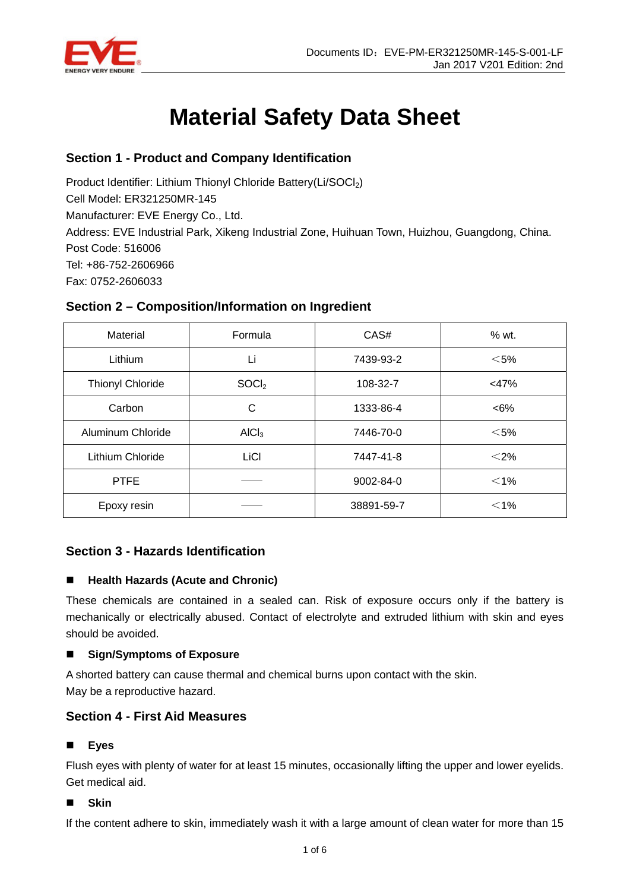

# **Material Safety Data Sheet**

# **Section 1 - Product and Company Identification**

Product Identifier: Lithium Thionyl Chloride Battery(Li/SOCl<sub>2</sub>)

Cell Model: ER321250MR-145

Manufacturer: EVE Energy Co., Ltd.

Address: EVE Industrial Park, Xikeng Industrial Zone, Huihuan Town, Huizhou, Guangdong, China. Post Code: 516006

Tel: +86-752-2606966

Fax: 0752-2606033

# **Section 2 – Composition/Information on Ingredient**

| Material                | Formula           | CAS#       | % wt.   |
|-------------------------|-------------------|------------|---------|
| Lithium                 | Li                | 7439-93-2  | $<$ 5%  |
| <b>Thionyl Chloride</b> | SOCl <sub>2</sub> | 108-32-7   | $<$ 47% |
| Carbon                  | С                 | 1333-86-4  | $<6\%$  |
| Aluminum Chloride       | AICI <sub>3</sub> | 7446-70-0  | $<$ 5%  |
| Lithium Chloride        | LiCI              | 7447-41-8  | $<$ 2%  |
| <b>PTFE</b>             |                   | 9002-84-0  | $<$ 1%  |
| Epoxy resin             |                   | 38891-59-7 | $<$ 1%  |

# **Section 3 - Hazards Identification**

# ■ Health Hazards (Acute and Chronic)

These chemicals are contained in a sealed can. Risk of exposure occurs only if the battery is mechanically or electrically abused. Contact of electrolyte and extruded lithium with skin and eyes should be avoided.

# **Sign/Symptoms of Exposure**

A shorted battery can cause thermal and chemical burns upon contact with the skin. May be a reproductive hazard.

# **Section 4 - First Aid Measures**

# **Eyes**

Flush eyes with plenty of water for at least 15 minutes, occasionally lifting the upper and lower eyelids. Get medical aid.

**Skin** 

If the content adhere to skin, immediately wash it with a large amount of clean water for more than 15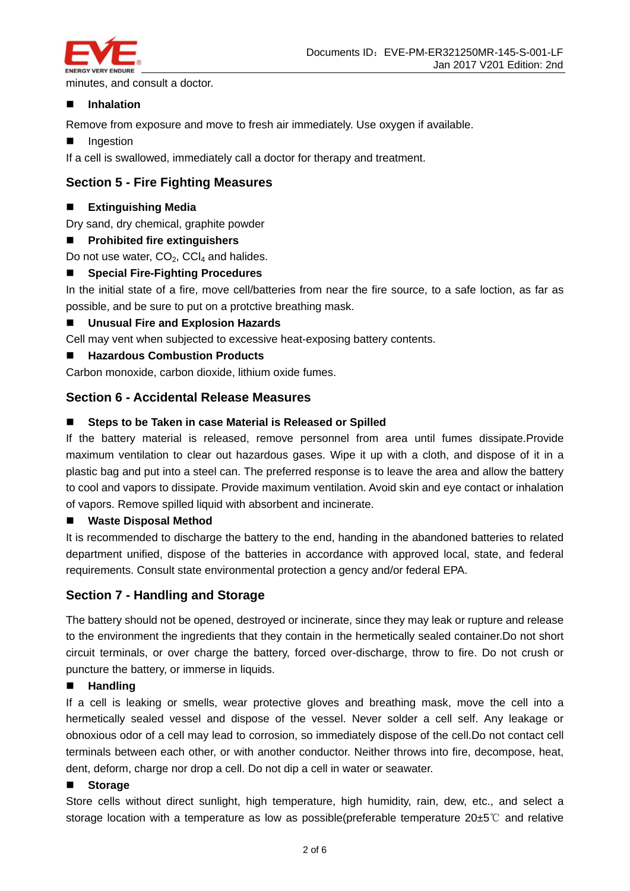

minutes, and consult a doctor.

## **Inhalation**

Remove from exposure and move to fresh air immediately. Use oxygen if available.

**Indestion** 

If a cell is swallowed, immediately call a doctor for therapy and treatment.

## **Section 5 - Fire Fighting Measures**

## **Extinguishing Media**

Dry sand, dry chemical, graphite powder

**Prohibited fire extinguishers** 

Do not use water,  $CO<sub>2</sub>$ , CCl<sub>4</sub> and halides.

## **Special Fire-Fighting Procedures**

In the initial state of a fire, move cell/batteries from near the fire source, to a safe loction, as far as possible, and be sure to put on a protctive breathing mask.

## **Unusual Fire and Explosion Hazards**

Cell may vent when subjected to excessive heat-exposing battery contents.

## **Hazardous Combustion Products**

Carbon monoxide, carbon dioxide, lithium oxide fumes.

## **Section 6 - Accidental Release Measures**

## ■ Steps to be Taken in case Material is Released or Spilled

If the battery material is released, remove personnel from area until fumes dissipate.Provide maximum ventilation to clear out hazardous gases. Wipe it up with a cloth, and dispose of it in a plastic bag and put into a steel can. The preferred response is to leave the area and allow the battery to cool and vapors to dissipate. Provide maximum ventilation. Avoid skin and eye contact or inhalation of vapors. Remove spilled liquid with absorbent and incinerate.

#### **Waste Disposal Method**

It is recommended to discharge the battery to the end, handing in the abandoned batteries to related department unified, dispose of the batteries in accordance with approved local, state, and federal requirements. Consult state environmental protection a gency and/or federal EPA.

## **Section 7 - Handling and Storage**

The battery should not be opened, destroyed or incinerate, since they may leak or rupture and release to the environment the ingredients that they contain in the hermetically sealed container.Do not short circuit terminals, or over charge the battery, forced over-discharge, throw to fire. Do not crush or puncture the battery, or immerse in liquids.

#### **Handling**

If a cell is leaking or smells, wear protective gloves and breathing mask, move the cell into a hermetically sealed vessel and dispose of the vessel. Never solder a cell self. Any leakage or obnoxious odor of a cell may lead to corrosion, so immediately dispose of the cell.Do not contact cell terminals between each other, or with another conductor. Neither throws into fire, decompose, heat, dent, deform, charge nor drop a cell. Do not dip a cell in water or seawater.

#### **Storage**

Store cells without direct sunlight, high temperature, high humidity, rain, dew, etc., and select a storage location with a temperature as low as possible(preferable temperature 20±5℃ and relative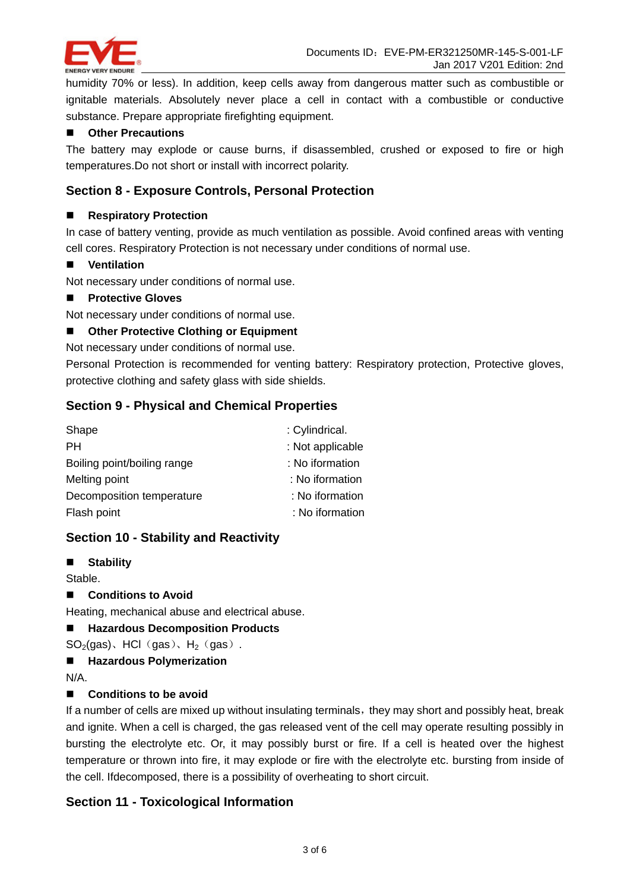

humidity 70% or less). In addition, keep cells away from dangerous matter such as combustible or ignitable materials. Absolutely never place a cell in contact with a combustible or conductive substance. Prepare appropriate firefighting equipment.

## **Other Precautions**

The battery may explode or cause burns, if disassembled, crushed or exposed to fire or high temperatures.Do not short or install with incorrect polarity.

## **Section 8 - Exposure Controls, Personal Protection**

#### ■ Respiratory Protection

In case of battery venting, provide as much ventilation as possible. Avoid confined areas with venting cell cores. Respiratory Protection is not necessary under conditions of normal use.

## **Ventilation**

Not necessary under conditions of normal use.

#### **Protective Gloves**

Not necessary under conditions of normal use.

## ■ Other Protective Clothing or Equipment

#### Not necessary under conditions of normal use.

Personal Protection is recommended for venting battery: Respiratory protection, Protective gloves, protective clothing and safety glass with side shields.

## **Section 9 - Physical and Chemical Properties**

| Shape                       | : Cylindrical.   |
|-----------------------------|------------------|
| <b>PH</b>                   | : Not applicable |
| Boiling point/boiling range | : No iformation  |
| Melting point               | : No iformation  |
| Decomposition temperature   | : No iformation  |
| Flash point                 | : No iformation  |

## **Section 10 - Stability and Reactivity**

**Stability** 

Stable.

■ Conditions to Avoid

Heating, mechanical abuse and electrical abuse.

## **Hazardous Decomposition Products**

- $SO<sub>2</sub>(gas)$ , HCl(gas), H<sub>2</sub>(gas).
- **Hazardous Polymerization**

N/A.

## ■ Conditions to be avoid

If a number of cells are mixed up without insulating terminals, they may short and possibly heat, break and ignite. When a cell is charged, the gas released vent of the cell may operate resulting possibly in bursting the electrolyte etc. Or, it may possibly burst or fire. If a cell is heated over the highest temperature or thrown into fire, it may explode or fire with the electrolyte etc. bursting from inside of the cell. Ifdecomposed, there is a possibility of overheating to short circuit.

# **Section 11 - Toxicological Information**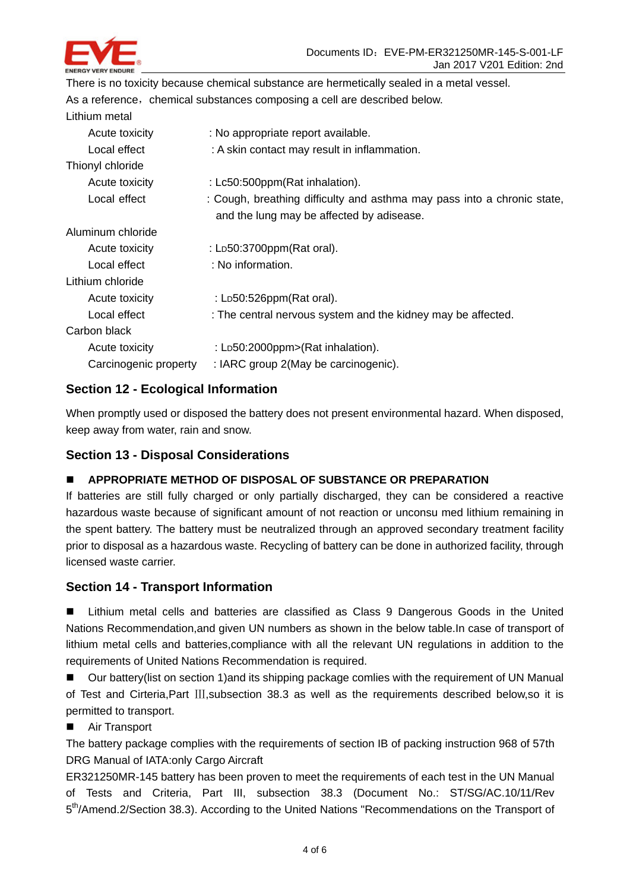

There is no toxicity because chemical substance are hermetically sealed in a metal vessel. As a reference, chemical substances composing a cell are described below. Lithium metal Acute toxicity : No appropriate report available. Local effect : A skin contact may result in inflammation. Thionyl chloride Acute toxicity : Lc50:500ppm(Rat inhalation). Local effect : Cough, breathing difficulty and asthma may pass into a chronic state, and the lung may be affected by adisease. Aluminum chloride Acute toxicity : LD50:3700ppm(Rat oral). Local effect : No information. Lithium chloride Acute toxicity : LD50:526ppm(Rat oral). Local effect : The central nervous system and the kidney may be affected. Carbon black Acute toxicity : LD50:2000ppm>(Rat inhalation). Carcinogenic property : IARC group 2(May be carcinogenic).

# **Section 12 - Ecological Information**

When promptly used or disposed the battery does not present environmental hazard. When disposed, keep away from water, rain and snow.

# **Section 13 - Disposal Considerations**

## **APPROPRIATE METHOD OF DISPOSAL OF SUBSTANCE OR PREPARATION**

If batteries are still fully charged or only partially discharged, they can be considered a reactive hazardous waste because of significant amount of not reaction or unconsu med lithium remaining in the spent battery. The battery must be neutralized through an approved secondary treatment facility prior to disposal as a hazardous waste. Recycling of battery can be done in authorized facility, through licensed waste carrier.

## **Section 14 - Transport Information**

 Lithium metal cells and batteries are classified as Class 9 Dangerous Goods in the United Nations Recommendation,and given UN numbers as shown in the below table.In case of transport of lithium metal cells and batteries,compliance with all the relevant UN regulations in addition to the requirements of United Nations Recommendation is required.

 Our battery(list on section 1)and its shipping package comlies with the requirement of UN Manual of Test and Cirteria,Part Ⅲ,subsection 38.3 as well as the requirements described below,so it is permitted to transport.

■ Air Transport

The battery package complies with the requirements of section IB of packing instruction 968 of 57th DRG Manual of IATA:only Cargo Aircraft

ER321250MR-145 battery has been proven to meet the requirements of each test in the UN Manual of Tests and Criteria, Part III, subsection 38.3 (Document No.: ST/SG/AC.10/11/Rev 5<sup>th</sup>/Amend.2/Section 38.3). According to the United Nations "Recommendations on the Transport of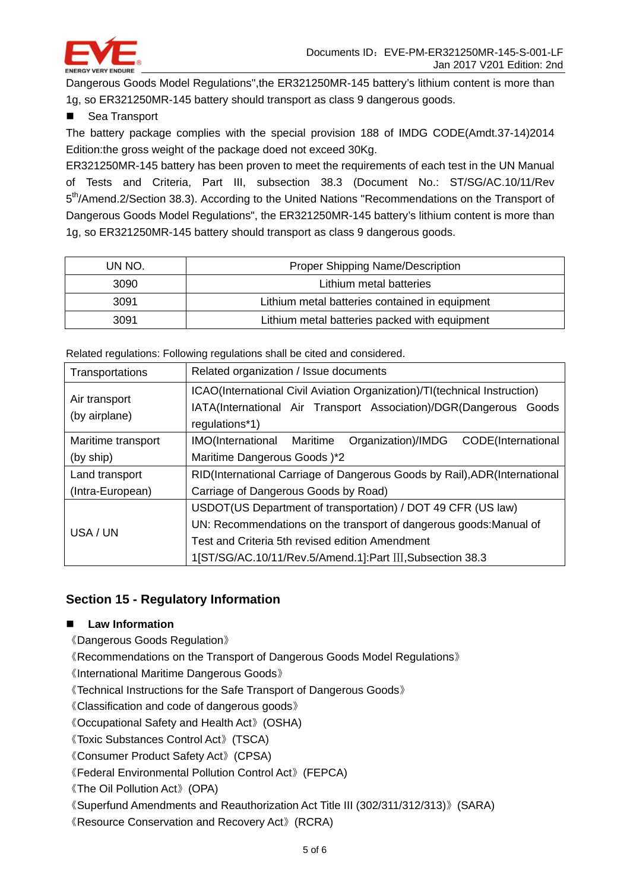

Dangerous Goods Model Regulations",the ER321250MR-145 battery's lithium content is more than 1g, so ER321250MR-145 battery should transport as class 9 dangerous goods.

■ Sea Transport

The battery package complies with the special provision 188 of IMDG CODE(Amdt.37-14)2014 Edition:the gross weight of the package doed not exceed 30Kg.

ER321250MR-145 battery has been proven to meet the requirements of each test in the UN Manual of Tests and Criteria, Part III, subsection 38.3 (Document No.: ST/SG/AC.10/11/Rev 5th/Amend.2/Section 38.3). According to the United Nations "Recommendations on the Transport of Dangerous Goods Model Regulations", the ER321250MR-145 battery's lithium content is more than 1g, so ER321250MR-145 battery should transport as class 9 dangerous goods.

| un No. | Proper Shipping Name/Description               |  |
|--------|------------------------------------------------|--|
| 3090   | Lithium metal batteries                        |  |
| 3091   | Lithium metal batteries contained in equipment |  |
| 3091   | Lithium metal batteries packed with equipment  |  |

Related regulations: Following regulations shall be cited and considered.

| Transportations                | Related organization / Issue documents                                                                                                                           |  |
|--------------------------------|------------------------------------------------------------------------------------------------------------------------------------------------------------------|--|
| Air transport<br>(by airplane) | ICAO(International Civil Aviation Organization)/TI(technical Instruction)<br>IATA(International Air Transport Association)/DGR(Dangerous Goods<br>regulations*1) |  |
| Maritime transport             | Organization)/IMDG<br>CODE(International<br>IMO(International Maritime                                                                                           |  |
| (by ship)                      | Maritime Dangerous Goods )*2                                                                                                                                     |  |
| Land transport                 | RID(International Carriage of Dangerous Goods by Rail), ADR(International                                                                                        |  |
| (Intra-European)               | Carriage of Dangerous Goods by Road)                                                                                                                             |  |
| USA / UN                       | USDOT(US Department of transportation) / DOT 49 CFR (US law)                                                                                                     |  |
|                                | UN: Recommendations on the transport of dangerous goods: Manual of                                                                                               |  |
|                                | Test and Criteria 5th revised edition Amendment                                                                                                                  |  |
|                                | 1[ST/SG/AC.10/11/Rev.5/Amend.1]:Part III, Subsection 38.3                                                                                                        |  |

# **Section 15 - Regulatory Information**

## **Law Information**

《Dangerous Goods Regulation》

《Recommendations on the Transport of Dangerous Goods Model Regulations》

《International Maritime Dangerous Goods》

《Technical Instructions for the Safe Transport of Dangerous Goods》

《Classification and code of dangerous goods》

《Occupational Safety and Health Act》(OSHA)

《Toxic Substances Control Act》(TSCA)

《Consumer Product Safety Act》(CPSA)

《Federal Environmental Pollution Control Act》(FEPCA)

《The Oil Pollution Act》(OPA)

《Superfund Amendments and Reauthorization Act Title III (302/311/312/313)》(SARA)

《Resource Conservation and Recovery Act》(RCRA)